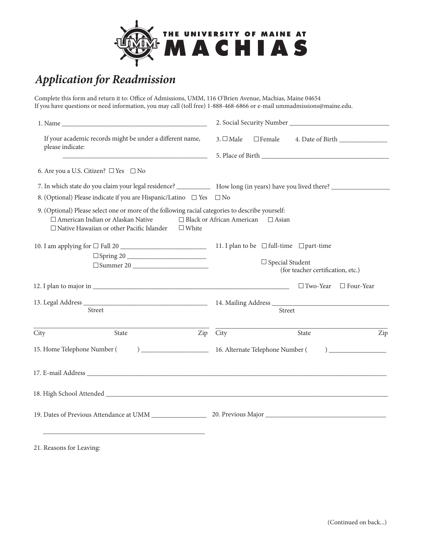

## *Application for Readmission*

Complete this form and return it to: Office of Admissions, UMM, 116 O'Brien Avenue, Machias, Maine 04654 If you have questions or need information, you may call (toll free) 1-888-468-6866 or e-mail ummadmissions@maine.edu.

| If your academic records might be under a different name,<br>please indicate: |                                                                                                                                                                                                           | $3. \Box$ Male                                              | $\Box$ Female                                                                                                                 |                                                    |                  |  |
|-------------------------------------------------------------------------------|-----------------------------------------------------------------------------------------------------------------------------------------------------------------------------------------------------------|-------------------------------------------------------------|-------------------------------------------------------------------------------------------------------------------------------|----------------------------------------------------|------------------|--|
|                                                                               |                                                                                                                                                                                                           |                                                             |                                                                                                                               |                                                    |                  |  |
|                                                                               | 6. Are you a U.S. Citizen? $\Box$ Yes $\Box$ No                                                                                                                                                           |                                                             |                                                                                                                               |                                                    |                  |  |
|                                                                               |                                                                                                                                                                                                           |                                                             | 7. In which state do you claim your legal residence? _____________ How long (in years) have you lived there? ________________ |                                                    |                  |  |
|                                                                               | 8. (Optional) Please indicate if you are Hispanic/Latino □ Yes □ No                                                                                                                                       |                                                             |                                                                                                                               |                                                    |                  |  |
|                                                                               | 9. (Optional) Please select one or more of the following racial categories to describe yourself:<br>□ American Indian or Alaskan Native<br>□ Native Hawaiian or other Pacific Islander<br>$\square$ White |                                                             | $\Box$ Black or African American $\Box$ Asian                                                                                 |                                                    |                  |  |
|                                                                               | 10. I am applying for $\Box$ Fall 20 $\_\_\_\_\_\_\_\_\_\_\_\_\_\_\_\_\_\_\_\_\_\_\_\_\_\_\_\_\_\_\_$                                                                                                     |                                                             |                                                                                                                               | 11. I plan to be $\Box$ full-time $\Box$ part-time |                  |  |
| $\square$ Spring 20<br>$\Box$ Summer 20                                       |                                                                                                                                                                                                           | $\Box$ Special Student<br>(for teacher certification, etc.) |                                                                                                                               |                                                    |                  |  |
|                                                                               |                                                                                                                                                                                                           |                                                             |                                                                                                                               | $\Box$ Two-Year                                    | $\Box$ Four-Year |  |
|                                                                               |                                                                                                                                                                                                           |                                                             |                                                                                                                               |                                                    |                  |  |
|                                                                               | Street                                                                                                                                                                                                    |                                                             |                                                                                                                               | Street                                             |                  |  |
| City                                                                          | State<br>Zip                                                                                                                                                                                              | City                                                        |                                                                                                                               | State                                              | Zip              |  |
|                                                                               | 15. Home Telephone Number (                                                                                                                                                                               | ) 16. Alternate Telephone Number (<br>$\overline{a}$        |                                                                                                                               |                                                    |                  |  |
|                                                                               |                                                                                                                                                                                                           |                                                             |                                                                                                                               |                                                    |                  |  |
|                                                                               |                                                                                                                                                                                                           |                                                             |                                                                                                                               |                                                    |                  |  |
|                                                                               | 19. Dates of Previous Attendance at UMM 20. Previous Major 20. Previous Major                                                                                                                             |                                                             |                                                                                                                               |                                                    |                  |  |
|                                                                               |                                                                                                                                                                                                           |                                                             |                                                                                                                               |                                                    |                  |  |

21. Reasons for Leaving: